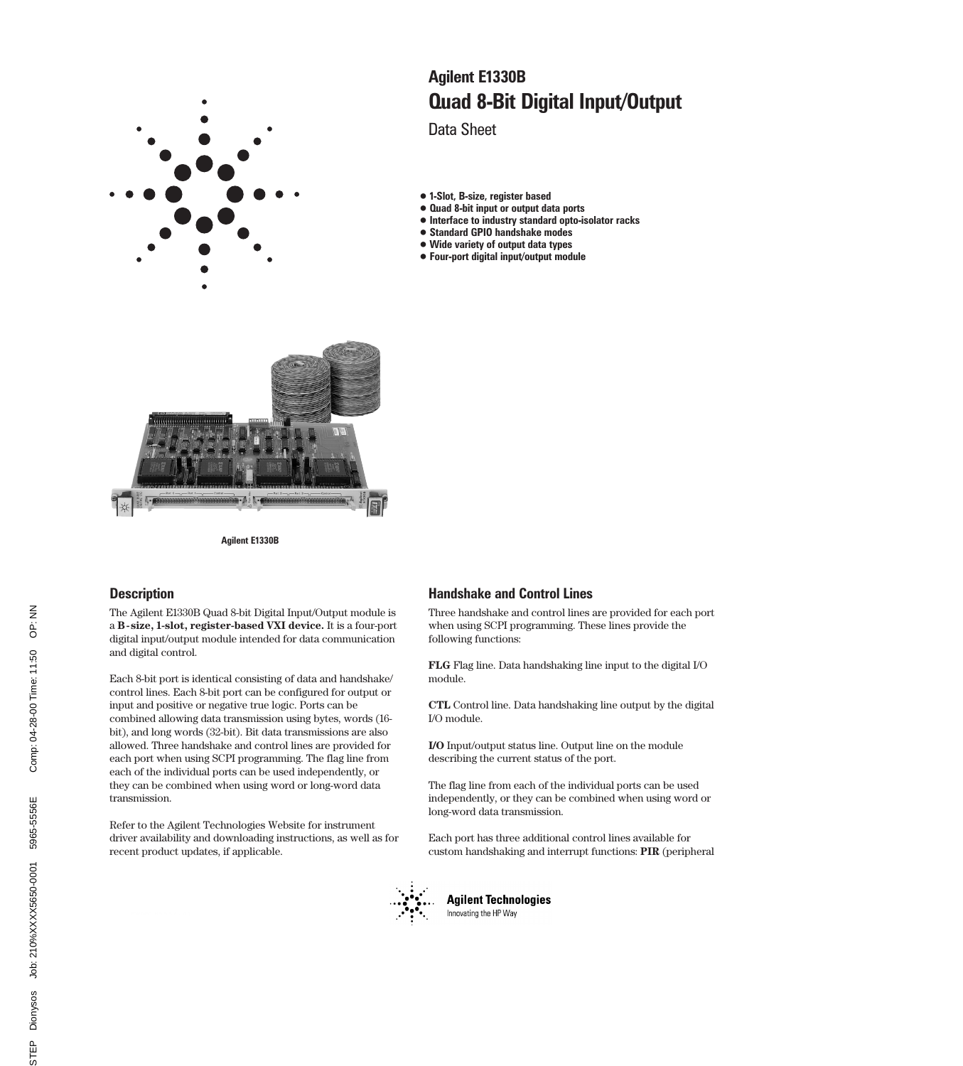

# Quad 8-Bit Digital Input/Output Agilent E1330B

Data Sheet

- 1-Slot, B-size, register based
- Quad 8-bit input or output data ports
- Interface to industry standard opto-isolator racks
- Standard GPIO handshake modes
- Wide variety of output data types
- Four-port digital input/output module



### **Description**

The Agilent E1330B Quad 8-bit Digital Input/Output module is a **B-size, 1-slot, register-based VXI device.** It is a four-port digital input/output module intended for data communication and digital control.

Each 8-bit port is identical consisting of data and handshake/ control lines. Each 8-bit port can be configured for output or input and positive or negative true logic. Ports can be combined allowing data transmission using bytes, words (16 bit), and long words (32-bit). Bit data transmissions are also allowed. Three handshake and control lines are provided for each port when using SCPI programming. The flag line from each of the individual ports can be used independently, or they can be combined when using word or long-word data transmission.

Refer to the Agilent Technologies Website for instrument driver availability and downloading instructions, as well as for recent product updates, if applicable.

### Handshake and Control Lines

Three handshake and control lines are provided for each port when using SCPI programming. These lines provide the following functions:

**FLG** Flag line. Data handshaking line input to the digital I/O module.

**CTL** Control line. Data handshaking line output by the digital I/O module.

**I/O** Input/output status line. Output line on the module describing the current status of the port.

The flag line from each of the individual ports can be used independently, or they can be combined when using word or long-word data transmission.

Each port has three additional control lines available for custom handshaking and interrupt functions: **PIR** (peripheral



**Agilent Technologies** Innovating the HP Way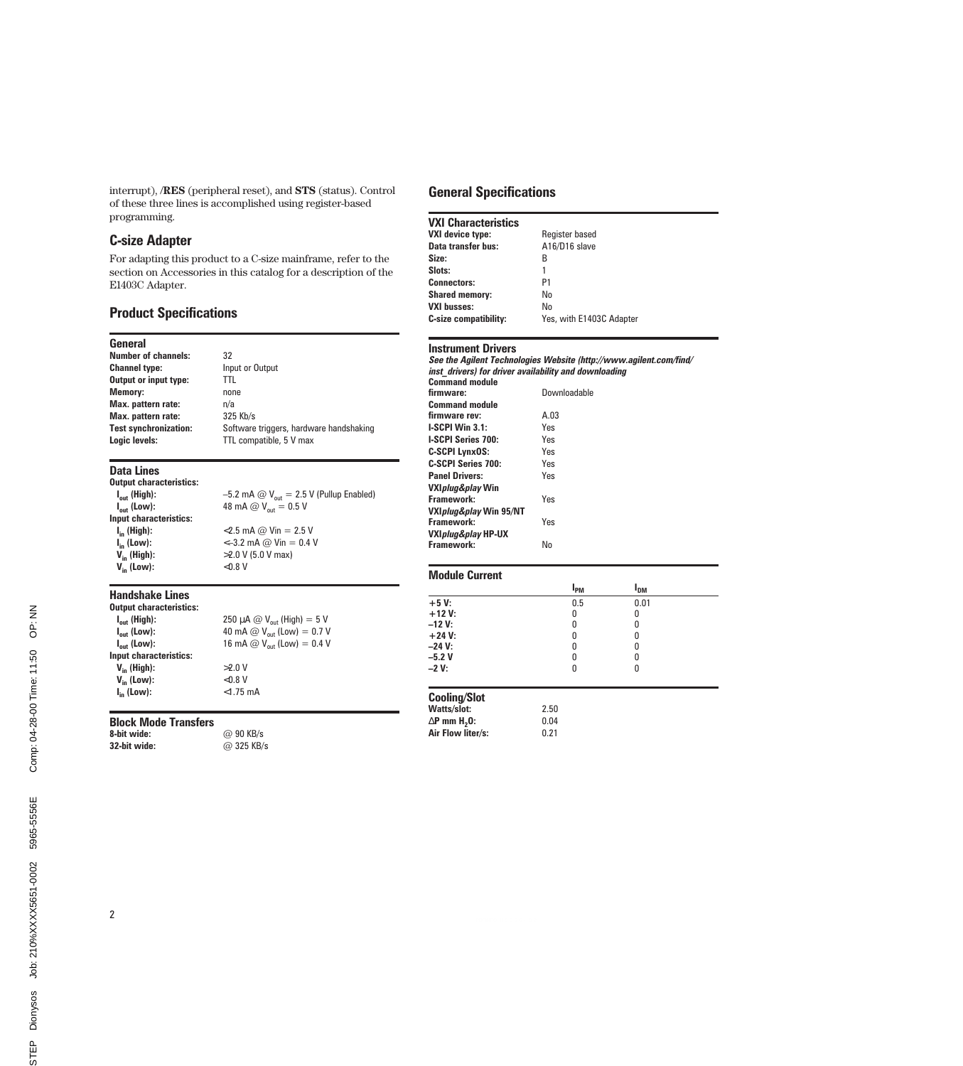interrupt), /**RES** (peripheral reset), and **STS** (status). Control of these three lines is accomplished using register-based programming.

### C-size Adapter

For adapting this product to a C-size mainframe, refer to the section on Accessories in this catalog for a description of the E1403C Adapter.

### Product Specifications

| General                      |                                         |
|------------------------------|-----------------------------------------|
| <b>Number of channels:</b>   | 32                                      |
| <b>Channel type:</b>         | Input or Output                         |
| Output or input type:        | TTI                                     |
| <b>Memory:</b>               | none                                    |
| Max. pattern rate:           | n/a                                     |
| Max. pattern rate:           | 325 Kb/s                                |
| <b>Test synchronization:</b> | Software triggers, hardware handshaking |
| Logic levels:                | TTL compatible, 5 V max                 |
|                              |                                         |

#### Data Lines

Output characteristics:<br>I<sub>out</sub> (High):  $I_{out}$  (High):  $-5.2$  mA  $\textcircled{a}$  V<sub>out</sub> = 2.5 V (Pullup Enabled)<br>  $I_{out}$  (Low):  $48$  mA  $\textcircled{a}$  V<sub>out</sub> = 0.5 V 48 mA  $\overset{\frown}{\omega}$  V<sub>out</sub> = 0.5 V Input characteristics:<br> $I_{in}$  (High): **I<sub>in</sub> (High):** <2.5 mA @ Vin = 2.5 V<br> **I<sub>in</sub> (Low):** <-3.2 mA @ Vin = 0.4 \  $I_{in}^{II}$  (Low):  $\langle -3.2 \text{ mA } \textcircled{e} \text{ Vin} = 0.4 \text{ V} \rangle$ <br>  $V_{in}$  (High):  $>2.0 \text{ V}$  (5.0 V max)  $>$ 2.0 V (5.0 V max)<br><0.8 V  $V_{in}$  (Low):

#### Handshake Lines

| <b>Output characteristics:</b> |                                        |
|--------------------------------|----------------------------------------|
| $I_{\text{out}}$ (High):       | 250 µA @ $V_{\text{out}}$ (High) = 5 V |
| $I_{\text{out}}$ (Low):        | 40 mA @ $V_{\text{out}}$ (Low) = 0.7 V |
| $I_{\text{out}}$ (Low):        | 16 mA @ $V_{\text{out}}$ (Low) = 0.4 V |
| Input characteristics:         |                                        |
| $V_{in}$ (High):               | $>2.0$ V                               |
| $V_{in}$ (Low):                | < 0.8 V                                |
| $I_{in}$ (Low):                | $< 1.75$ mA                            |
|                                |                                        |

#### Block Mode Transfers

8-bit wide: @ 90 KB/s 32-bit wide: @ 325 KB/s

### General Specifications

| <b>VXI Characteristics</b>   |                          |  |
|------------------------------|--------------------------|--|
| <b>VXI device type:</b>      | Register based           |  |
| Data transfer bus:           | A16/D16 slave            |  |
| Size:                        | В                        |  |
| Slots:                       | 1                        |  |
| <b>Connectors:</b>           | P1                       |  |
| <b>Shared memory:</b>        | No                       |  |
| <b>VXI busses:</b>           | No                       |  |
| <b>C-size compatibility:</b> | Yes, with E1403C Adapter |  |

#### Instrument Drivers

|                                                       | See the Agilent Technologies Website (http://www.agilent.com/find/ |
|-------------------------------------------------------|--------------------------------------------------------------------|
| inst drivers) for driver availability and downloading |                                                                    |
| <b>Command module</b>                                 |                                                                    |
| firmware:                                             | Downloadable                                                       |
| <b>Command module</b>                                 |                                                                    |
| firmware rev:                                         | A.03                                                               |
| I-SCPI Win 3.1:                                       | Yes                                                                |
| <b>I-SCPI Series 700:</b>                             | Yes                                                                |
| C-SCPI LynxOS:                                        | Yes                                                                |
| <b>C-SCPI Series 700:</b>                             | Yes                                                                |
| <b>Panel Drivers:</b>                                 | Yes                                                                |
| VXI <i>pluq&amp;play</i> Win                          |                                                                    |
| Framework:                                            | Yes                                                                |
| VXI <i>pluq&amp;play</i> Win 95/NT                    |                                                                    |
| Framework:                                            | Yes                                                                |
| VXI <i>pluq&amp;play</i> HP-UX                        |                                                                    |
| Framework:                                            | No                                                                 |
|                                                       |                                                                    |

| <b>Module Current</b>                                          |              |                       |  |
|----------------------------------------------------------------|--------------|-----------------------|--|
|                                                                | $I_{PM}$     | <b>I<sub>DM</sub></b> |  |
| $+5V$                                                          | 0.5          | 0.01                  |  |
| $+12V:$<br>–12 V:                                              | 0<br>U       | 0<br>O                |  |
| $+24 V:$<br>-24 V:                                             | 0<br>N       | 0<br>N                |  |
| -5.2 V<br>–2 V:                                                | N<br>٥       | U<br>0                |  |
|                                                                |              |                       |  |
| Cooling/Slot<br>Watts/slot:<br>$\Delta$ P mm H <sub>2</sub> 0: | 2.50<br>0.04 |                       |  |
| Air Flow liter/s:                                              | 0.21         |                       |  |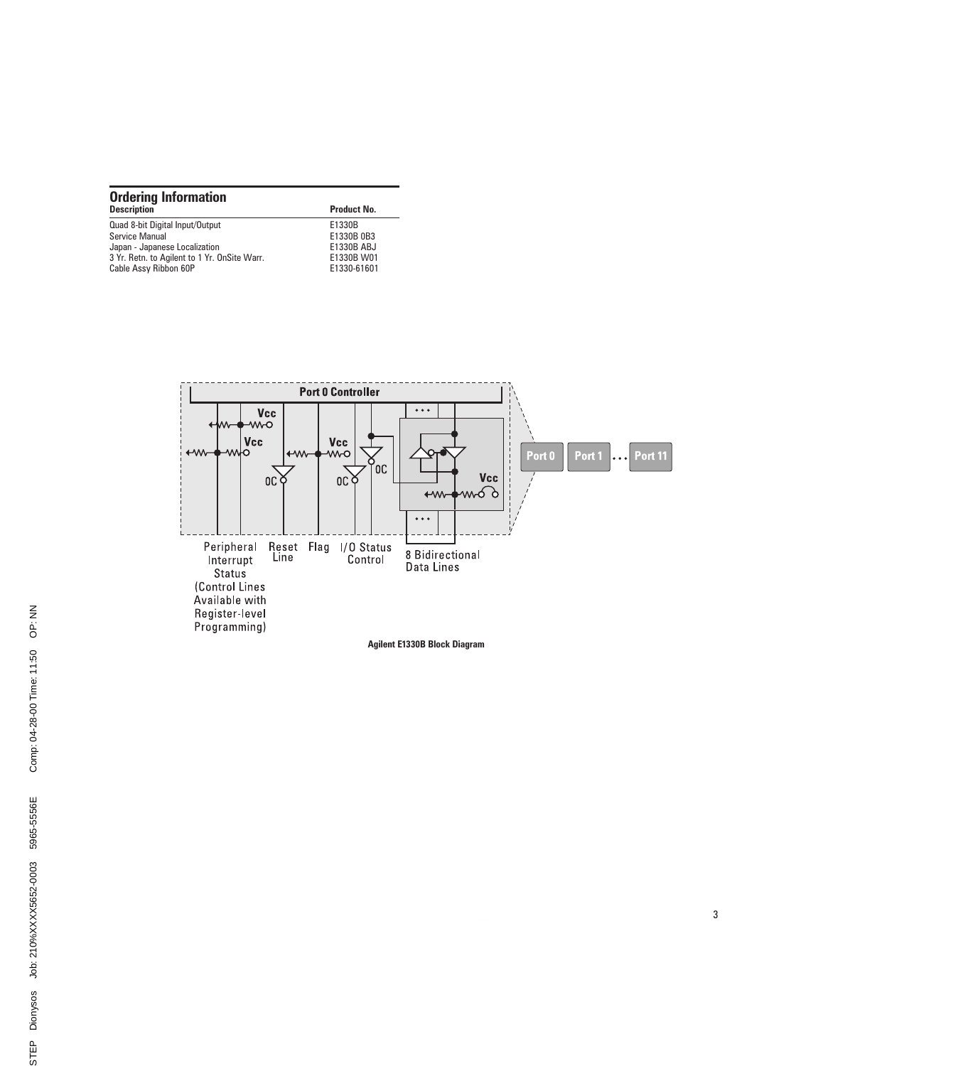| <b>Ordering Information</b>                  |                    |  |  |
|----------------------------------------------|--------------------|--|--|
| <b>Description</b>                           | <b>Product No.</b> |  |  |
| Quad 8-bit Digital Input/Output              | E1330B             |  |  |
| Service Manual                               | E1330B 0B3         |  |  |
| Japan - Japanese Localization                | E1330B ABJ         |  |  |
| 3 Yr. Retn. to Agilent to 1 Yr. OnSite Warr. | E1330B W01         |  |  |
| Cable Assy Ribbon 60P                        | E1330-61601        |  |  |